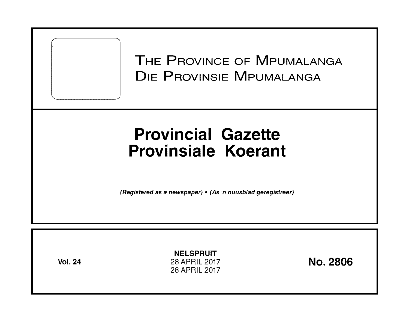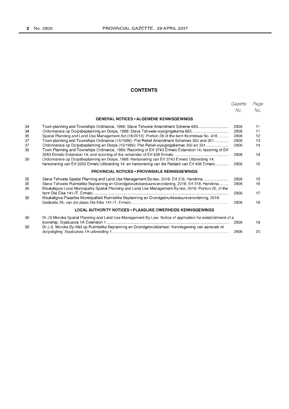# **CONTENTS**

|          |                                                                                                                                                                                                    | Gazette<br>No. | Page<br>No. |  |  |
|----------|----------------------------------------------------------------------------------------------------------------------------------------------------------------------------------------------------|----------------|-------------|--|--|
|          | <b>GENERAL NOTICES • ALGEMENE KENNISGEWINGS</b>                                                                                                                                                    |                |             |  |  |
| 34       | Town-planning and Townships Ordinance, 1986: Steve Tshwete Amendment Scheme 683                                                                                                                    | 2806           | 11          |  |  |
| 34       | Ordonnansie op Dorpsbeplanning en Dorpe, 1986: Steve Tshwete-wysigingskema 683                                                                                                                     | 2806           | 11          |  |  |
| 35       | Spatial Planning and Land Use Management Act (16/2013): Portion 28 of the farm Kromdraai No. 416                                                                                                   | 2806           | 12          |  |  |
| 37       | Town-planning and Townships Ordinance (15/1986): Piet Retief Amendment Schemes 350 and 351                                                                                                         | 2806           | 13          |  |  |
| 37<br>39 | Ordonnansie op Dorpsbeplanning en Dorpe (15/1986): Piet Retief-wysigingskemas 350 en 351<br>Town Planning and Townships Ordinance, 1986: Rezoning of Erf 3743 Ermelo Extension 14; rezoning of Erf | 2806           | 14          |  |  |
| 39       | Ordonnansie op Dorpsbeplanning en Dorpe, 1986: Hersonering van Erf 3743 Ermelo Uitbreiding 14;                                                                                                     | 2806           | 14          |  |  |
|          | hersonering van Erf 3263 Ermelo Uitbreiding 14; en hersonering van die Restant van Erf 438 Ermelo                                                                                                  | 2806           | 15          |  |  |
|          | <b>PROVINCIAL NOTICES • PROVINSIALE KENNISGEWINGS</b>                                                                                                                                              |                |             |  |  |
| 35       | Steve Tshwete Spatial Planning and Land Use Management By-law, 2016: Erf 318, Hendrina                                                                                                             | 2806           | 15          |  |  |
| 35       | Steve Tshwete Ruimtelike Beplanning en Grondgebruiksbestuursverordening, 2016: Erf 318, Hendrina                                                                                                   | 2806           | 16          |  |  |
| 36       | Msukaligwa Local Municipality Spatial Planning and Land Use Management By-law, 2016: Portion 25, of the                                                                                            |                |             |  |  |
|          |                                                                                                                                                                                                    | 2806           | 17          |  |  |
| 36       | Msukaligwa Plaaslike Munisipaliteit Ruimtelike Beplanning en Grondgebruikbestuursverordening, 2016:                                                                                                |                |             |  |  |
|          |                                                                                                                                                                                                    | 2806           | 18          |  |  |
|          | <b>LOCAL AUTHORITY NOTICES . PLAASLIKE OWERHEIDS KENNISGEWINGS</b>                                                                                                                                 |                |             |  |  |
| 38       | Dr JS Moroka Spatial Planning and Land Use Management By-Law: Notice of application for establishment of a                                                                                         |                |             |  |  |
|          |                                                                                                                                                                                                    | 2806           | 19          |  |  |
| 38       | Dr J.S. Moroka By-Wet op Ruimtelike Beplanning en Grondgebruikbeheer: Kennisgewing van aansoek vir                                                                                                 |                |             |  |  |
|          |                                                                                                                                                                                                    | 2806           | 20          |  |  |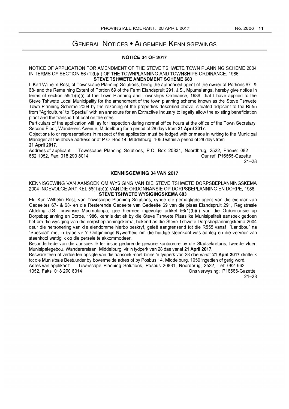# GENERAL NOTICES • ALGEMENE KENNISGEWINGS

# NOTICE 34 OF 2017

#### NOTICE OF APPLICATION FOR AMENDMENT OF THE STEVE TSHWETE TOWN PLANNING SCHEME 2004 IN TERMS OF SECTION 56 (1)(b)(i) OF THE TOWNPLANNING AND TOWNSHIPS ORDINANCE, 1986 STEVE TSHWETE AMENDMENT SCHEME 683

I, Karl Wilhelm Rost, of Townscape Planning Solutions, being the authorised agent of the owner of Portions 67- & 68- and the Remaining Extent of Portion 69 of the Farm Elandspruit 291, J.S., Mpumalanga, hereby give notice in terms of section 56(1 )(b)(i) of the Town Planning and Townships Ordinance, 1986, that I have applied to the Steve Tshwete Local Municipality for the amendment of the town planning scheme known as the Steve Tshwete Town Planning Scheme 2004 by the rezoning of the properties described above, situated adjacent to the R555 from "Agriculture" to "Special" with an annexure for an Extractive Industry to legally allow the existing beneficiation plant and the transport of coal on the sites.

Particulars of the application will lay for inspection during normal office hours at the office of the Town Secretary, Second Floor, Wanderers Avenue, Middelburg for a period of 28 days from 21 April 2017.

Objections to or representations in respect of the application must be lodged with or made in writing to the Municipal Manager at the above address or at P.O. Box 14, Middelburg, 1050 within a period of 28 days from 21 April 2017.

Address of applicant: 6621052, Fax: 0182908014 Townscape Planning Solutions, P.O. Box 20831, Noordbrug, 2522, Phone: 082 Our ref: P16565-Gazette

21-28

## KENNISGEWING 34 VAN 2017

KENNISGEWING VAN AANSOEK OM WYSIGING VAN DIE STEVE TSHWETE DORPSBEPLANNINGSKEMA 2004 INGEVOLGE ARTIKEL 56(1)(b)(i) VAN DIE ORDONNANSIE OP DORPSBEPLANNING EN DORPE, 1986 STEVE TSHWETE WYSIGINGSKEMA 683

Ek, Karl Wilhelm Rost, van Townscape Planning Solutions, synde die gemagtigde agent van die eienaar van Gedeeltes 67- & 68- en die Resterende Gedeelte van Gedeelte 69 van die plaas Elandspruit 291, Registrasie Afdeling J.S., provinsie Mpumalanga, gee hiermee ingevolge artikel 56(1)(b)(i) van die Ordonnansie op Dorpsbeplanning en Dorpe, 1986, kennis dat ek by die Steve Tshwete Plaaslike Munisipaliteit aansoek gedoen het om die wysiging van die dorpsbeplanningskema, bekend as die Steve Tshwete Dorpsbeplanningskema 2004 deur die hersonering van die eiendomme hierbo beskryf, gelee aangrensend tot die R555 vanaf "Landbou" na "Spesiaal" met 'n bylae vir 'n Ontginnings Nywerheid om die huidige steenkool was aanleg en die vervoer van steenkool wettiglik op die persele te akkommodeer.

Besonderhede van die aansoek lê ter insae gedurende gewone kantoorure by die Stadsekretaris, tweede vloer, Munisipalegebou, Wandererslaan, Middelburg, vir 'n tydperk van 28 dae vanaf 21 April 2017.

Besware teen of vertoe ten opsigte van die aansoek moet binne 'n tydperk van 28 dae vanaf 21 April 2017 skriftelik tot die Munisipale Bestuurder by bovermelde adres of by Posbus 14, Middelburg, 1050 ingedien of gerig word.

Adres van applikant: Townscape Planning Solutions, Posbus 20831, Noordbrug, 2522, Tel: 082 662 1052, Faks: 0182908014 Ons verwysing: P16565-Gazette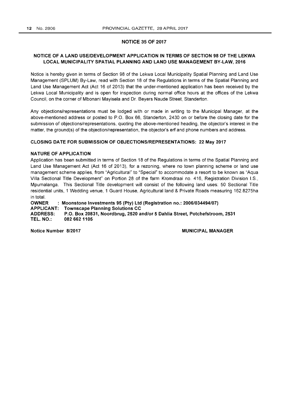### NOTICE 35 OF 2017

# NOTICE OF A LAND USE/DEVELOPMENT APPLICATION IN TERMS OF SECTION 98 OF THE LEKWA LOCAL MUNICIPALITY SPATIAL PLANNING AND LAND USE MANAGEMENT BY-LAW, 2016

Notice is hereby given in terms of Section 98 of the Lekwa Local Municipality Spatial Planning and Land Use Management (SPLUM) By-Law, read with Section 18 of the Regulations in terms of the Spatial Planning and Land Use Management Act (Act 16 of 2013) that the under-mentioned application has been received by the Lekwa Local Municipality and is open for inspection during normal office hours at the offices of the Lekwa Council, on the corner of Mbonani Mayisela and Dr. Beyers Naude Street, Standerton.

Any objections/representations must be lodged with or made in writing to the Municipal Manager, at the above-mentioned address or posted to P.O. Box 66, Standerton, 2430 on or before the closing date for the submission of objections/representations, quoting the above-mentioned heading, the objector's interest in the matter, the ground(s) of the objection/representation, the objector's erf and phone numbers and address.

# CLOSING DATE FOR SUBMISSION OF OBJECTIONS/REPRESENTATIONS: 22 May 2017

# NATURE OF APPLICATION

Application has been submitted in terms of Section 18 of the Regulations in terms of the Spatial Planning and Land Use Management Act (Act 16 of 2013), for a rezoning, where no town planning scheme or land use management scheme applies, from "Agricultural" to "Special" to accommodate a resort to be known as "Aqua Villa Sectional Title Development" on Portion 28 of the farm Kromdraai no. 416, Registration Division I.S., Mpumalanga. This Sectional Title development will consist of the following land uses: 50 Sectional Title residential units, 1 Wedding venue, 1 Guard House, Agricultural land & Private Roads measuring 162.8275ha in total.

OWNER APPLICANT: Townscape Planning Solutions CC ADDRESS: TEL. NO.: Moonstone Investments 95 (Pty) Ltd (Registration no.: 2006/034494/07) P.O. Box 20831, Noordbrug, 2520 and/or 5 Dahlia Street, Potchefstroom, 2531 0826621105

Notice Number 8/2017 **MUNICIPAL MANAGER**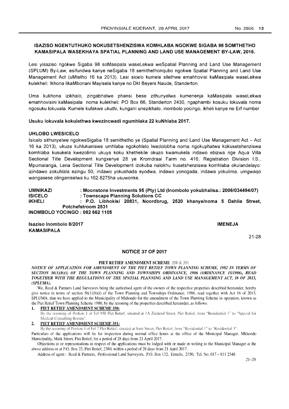# ISAZISO NGENTUTHUKO NOKUSETSHENZISWA KOMHLABA NGOKWE SIGABA 98 SOMTHETHO KAMASIPALA WASEKHAYA SPATIAL PLANNING AND LAND USE MANAGEMENT BY-LAW, 2016.

Lesi yisaziso ngokwe Sigaba 98 soMasipala waseLekwa weSpatial Planning and Land Use Management (SPLUM) By-Law, esifundwa kanye neSigaba 18 semithethonqubo ngokwe Spatial Planning and Land Use Management Act (uMtetho 16 ka 2013). Lesi sicelo kumele silethwe emahhovisi kaMasipala waseLekwa kulekheli: Ikhona likaMbonani Mayisela kanye no Dkt Beyers Naude, Standerton.

Uma kukhona izikhalo, zingabhalwe phansi bese zithunyelwa kumenenja kaMasipala waseLekwa emahhovisini kaMasipala noma kulekheli: PO Box 66, Standerton 2430, ngaphambi kosuku lokuvala noma ngosuku lokuvala. Kumele kufakwe ukuthi, kungani unezikhalo, inombolo yocingo, ikheli kanye ne Erf number

# Usuku lokuvala kokulethwa kwezincwadi ngumhlaka 22 kuNhlaba 2017.

# UHLOBO LWESICELO

Isicelo sithunyelwe ngokweSigaba 18 semithetho ye (Spatial Planning and Land Use Management Act - Act 16 ka 2013), ukuze kuhlukaniswe umhlaba ngokohlelo Iwedolobha noma ngokuphatwa kokusetshenziswa komhlaba kusukela kwezolimo ukuya koku khethekile okuzo kwamukela indawo ebizwa nge Aqua Villa Sectional Title Development kungxenye 28 ye Kromdraai Farm no. 416, Registration Division I.S., Mpumalanga, Lena Sectional Title Development izokuba nalokhu kusetshenziswa komhlaba okulandelayo: izindawo zokuhlala ezingu 50, indawo yokushada eyodwa, indawo yonogada, indawa yokulima, umgwaqo wangasese olinganiselwa ku 162.8275ha usuwonke.

UMNIKAZI ISICELO IKHELI : Moonstone Investments 95 (Pty) Ltd (Inombolo yokubhalisa.: 2006/034494/07) : Townscape Planning Solutions CC : P.O. Libhokisi 20831, Noordbrug, 2520 khanye/noma 5 Dahlia Street, Potchefstroom 2531 INOMBOLO YOCINGO : 0826621105

Isaziso Inombolo 8/2017 KAMASIPALA

IMENEJA

21-28

#### NOTICE 37 OF 2017

#### PIET RETIEF AMENDMENT SCHEME 350 & 351

*NOTICE OF APPLICATION FOR AMENDMENT OF THE PIET RETIEF TOWN PLANNING SCHEME, 1982 IN TERMS OF SECTION 56(I)(b)(i) OF THE TOWN PLANNING AND TOWNSHIPS ORDINANCE, 1986 (ORDINANCE 15/1986), READ TOGETHER WITH THE REGULATIONS OF THE SPATIAL PLANNING AND LAND USE MANAGEMENT ACT, 16 OF 2013, (SPLUMA).* 

We, Reed & Partners Land Surveyors being the authorised agent of the owners of the respective properties described hereunder, hereby give notice in terms of section 56(1)(b)(i) of the Town Planning and Townships Ordinance, 1986, read together with Act 16 of 2013, SPLUMA, that we have applied to the Municipality of Mkhondo for the amendment of the Town Planning Scheme in operation, known as the Piet Retief Town Planning Scheme 1980, by the rezoning of the properties described hereunder, as follows:

#### PIET RETIEF AMENDMENT SCHEME 350:

By the rezoning of Portion 1 of Erf 950 Piet Retief, situated at 1A Zuidend Street, Piet Retief, from "Residential 1" to "Special for Medical Consulting Rooms".

# 2. PIET RETIEF AMENDMENT SCHEME 351:

By the rezoning of Portion 4 of Ert 7 Pict Retief, situated at Smit Street. Piet Retief. from "Residential I" to "Residential 3".

Particulars of the applications will lie for inspection during normal office hours at the office of the Municipal Manager, Mkhondo Municipality, Mark Street, Piet Retief, for a period of 28 days from 21 April 2017.

Objections to or representations in respect of the applications must be lodged with or made in writing to the Municipal Manager at the above address or at P.O. Box 23, Piet Retief, 2380, within a period of 28 days from 21 April 2017.

Address of agent: Reed & Partners, Professional Land Surveyors, P.O. Box 132, Ermelo, 2350, Tel. No. 017 - 811 2348.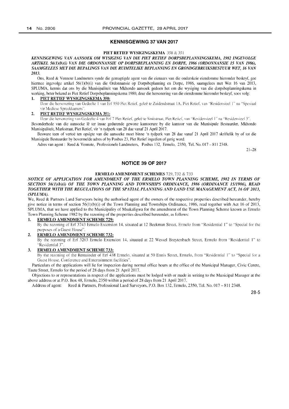#### KENNISGEWING 37 VAN 2017

#### PIET RETIEF WYSIGINGSKEMA 350 & 351

*KENNISGEWING VAN AANSOEK OM WYSIGING VAN DIE PIET RETIEF DORPSBEPLANNINGSKEMA, I982INGEVOLGE ARTIKEL 56(I)(b)(i) VAN DIE ORDONNANSIE OP DORPSBEPLANNING EN DORPE, 1986 (ORDONNANSIE 15 VAN 1986), SAAMGELEES MET DIE BEPALINGS VAN DIE RUIMTELIKE BEPLANNING EN GRONDGEBRUIKSBESTUUR WET, 16 VAN 2013.* 

Ons, Reed & Vennote Landmeters synde die gemagtigde agent van die eienaars van die onderskeie eiendomme hieronder beskryf, gee hiermee ingevolge artikel 56(1)(b)(i) van die Ordonnansie op Dorpsbeplanning en Dorpe, 1986, saamgelees met Wet 16 van 2013, SPLUMA, kennis dat ons by die Munisipaliteit van Mkhondo aansoek gedoen het om die wysiging van die dorpsbeplanningskema in werking, beter bekend as Piet Retief Dorpsbeplanningskema 1980, deur die hersonering van die eiendomme hieronder beskryf, soos volg:

#### 1. PIET RETIEF WYSIGINGSKEMA 350:

Deur die hersonering van Gedeelte 1 van Erf 950 Piet Retief, geleë te Zuidendstraat IA, Piet Retief, van "Residensieel 1" na "Spesiaal vir Mediese Spreekkamers"

#### 2. PIET RETIEF WYSIGINGSKEMA 351:

Deur die hersonering van Gedeelte 4 van Erf 7 Piet Retief, geleë te Smitstraat, Piet Retief, van "Residensieel 1" na "Residensieel 3".

Besonderhede van die aansoeke lê ter insae gedurende gewone kantoorure by die kantoor van die Munisipale Bestuurder, Mkhondo Munisipaliteit, Markstraat, Piet Retief, vir 'n tydperk van 28 dae vanaf 21 April 2017.

Besware teen of vertoë ten opsigte van die aansoeke moet binne 'n tydperk van 28 dae vanaf 21 April 2017 skriftelik by of tot die Munisipale Bestuurder by bovermelde adres of by Posbus 23, Piet Retief ingedien of gerig word.

Adres van agent: Reed & Vennote, Professionele Landmeters, Posbus 132, Ermelo, 2350, Tel. No. 017 - 811 2348.

21-28

#### NOTICE 39 OF 2017

#### ERMELO AMENDMENT SCHEMES 729, 732 & 733

#### *NOTICE OF APPLICATION FOR AMENDMENT OF THE ERMELO TOWN PLANNING SCHEME,* 1982 *IN TERMS OF SECTION 56(I)(b)(i) OF THE TOWN PLANNING AND TOWNSHIPS ORDINANCE,* 1986 *(ORDINANCE 1511986), READ TOGETHER WITH THE REGULATIONS OF THE SPATIAL PLANNING AND LAND USE MANAGEMENT ACT,* 16 *OF 2013, (SPLUMA).*

We, Reed & Partners Land Surveyors being the authorised agent of the owners of the respective properties described hereunder, hereby give notice in terms of section 56(l)(b)(i) of the Town Planning and Townships Ordinance, 1986, read together with Act 16 of 2013, SPLUMA, that we have applied to the Municipality of Msukaligwa for the amendment of the Town Planning Scheme known as Ermelo Town Planning Scheme 1982 by the rezoning of the properties described hereunder, as follows:

#### 1. ERMELO AMENDMENT SCHEME 729:

By the rezoning of Erf 3743 Ermelo Extension 14, situated at 12 Beekman Street, Ermelo from "Residential 1" to "Special for the purposes of a Guest House".

#### 2. ERMELO AMENDMENT SCHEME 732:

By the rezoning of Erf 3263 Ermelo Extension 14, situated at 22 Wessel Breytcnbaeh Street, Ermelo from '"Residential I" to '·ResidentiaI3".

### 3. ERMELO AMENDMENT SCHEME 733:

By the rezoning of the Remainder of Erf 438 Ermelo, situated at 50 Ennis Street, Ermelo, from "Residential 1" to "Special for a Guest House, Conference and Entertainment facilities".

Particulars of the applications will lie for inspection during normal office hours at the office of the Municipal Manager, Civic Centre, Taute Street, Ermelo for the period of 28 days from 21 April 2017.

Objections to or representations in respect of the applications must be lodged with or made in writing to the Municipal Manager at the above address or at P.O. Box 48, Ermelo, 2350 within a period of 28 days from 21 April 2017.

Address of agent: Reed & Partners, Professional Land Surveyors, P.O. Box 132, Ermelo, 2350, Tel. No. 017 - 811 2348.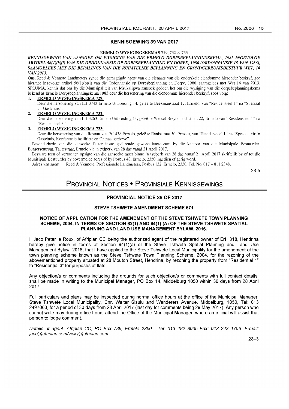## KENNISGEWING 39 VAN 2017

#### ERMELO WYSIGINGSKEMAS 729, 732 & 733

#### *KENNISGEWING VAN AANSOEK OM WYSIGING VAN DIE ERMELO DORPSBEPLANNINGSKEMA,* 1982 *INGEVOLGE ARTIKEL 56(I)(b)(i) VAN DIE ORDONNANSIE OP DORPSBEPLANNING EN DORPE,* 1986 *(ORDONNANSIE* 15 *VAN 1986), SAAMGELEES MET DIE BEPALINGS VAN DIE RUIMTELIKE BEPLANNING EN GRONDGEBRUIKSBESTUUR WET, 16 VAN 2013.*

Ons, Reed & Vennote Landmeters synde die gemagtigde agent van die eienaars van die onderskeie eiendomme hieronder beskryf, gee hiermee ingevolge artikel 56(1)(b)(i) van die Ordonnansie op Dorpsbeplanning en Dorpe, 1986, saamgelees met Wet 16 van 2013, SPLUMA, kennis dat ons by die Munisipaliteit van Msukaligwa aansoek gedoen het om die wysiging van die dorpsbeplanningskema bekend as Ermelo Dorpsbeplanningskema 1982 deur die hersonering van die eiendomme hieronder beskryf, soos volg:

#### 1. ERMELO WYSIGINGSKEMA 729:

Deur die hersonering van Erf 3743 Ermelo Uitbreiding 14, geleë te Beekmanstraat 12, Ermelo, van "Residensieel 1" na "Spesiaal vir Gastehuis".

#### 2. ERMELO WYSIGINGSKEMA 732:

Deur die hersonering van Erf 3263 Ermelo Uitbreiding 14, gelee te Wessel Breytenbachslraal 22. Ermelo van "Rcsidcnsieel I" na "Residensicel 3",

#### 3. ERMELO WYSIGINGSKEMA 733:

Deur die hersonering van die Restant van Erf 438 Ermelo, geleë te Ennisstraat 50, Ermelo, van "Residensieel 1" na "Spesiaal vir 'n Gastehuis, Konferensie fasilitiete en Onthaal geriewe".

Besonderhede van die aansoeke lê ter insae gedurende gewone kantoorure by die kantoor van die Munisipale Bestuurder, Burgersentrum, Tautestraat, Ermelo vir 'n tydperk van 28 dae vanaf 21 April 2017,

Besware teen of vertoë ten opsigte van die aansoeke moet binne 'n tydperk van 28 dae vanaf 21 April 2017 skriftelik by of tot die Munisipale Bestuurder by bovermelde adres of by Posbus 48, Ermelo, 2350 ingedien of gerig word,

Adres van agent: Reed & Vennote, Professionele Landmeters, Posbus 132, Ermelo, 2350, Tel. No, 017 - 811 2348,

28-5

# PROVINCIAL NOTICES • PROVINSIALE KENNISGEWINGS

# PROVINCIAL NOTICE 35 OF 2017

# STEVE TSHWETE AMENDMENT SCHEME 671

## NOTICE OF APPLICATION FOR THE AMENDMENT OF THE STEVE TSHWETE TOWN PLANNING SCHEME, 2004, IN TERMS OF SECTION 62(1) AND 94(1) (A) OF THE STEVE TSHWETE SPATIAL PLANNING AND LAND USE MANAGEMENT BYLAW, 2016.

I, Jaco Peter Ie Roux, of Afriplan CC being the authorized agent of the registered owner of Erf 318, Hendrina hereby give notice in terms of Section 94(1)(a) of the Steve Tshwete Spatial Planning and Land Use Management Bylaw, 2016, that I have applied to the Steve Tshwete Local Municipality for the amendment of the town planning scheme known as the Steve Tshwete Town Planning Scheme, 2004, for the rezoning of the abovementioned property situated at 28 Mouton Street, Hendrina, by rezoning the property from "Residential 1" to "Residential 3" for purposes of flats,

Any objection/s or comments including the grounds for such objection/s or comments with full contact details, shall be made in writing to the Municipal Manager, PO Box 14, Middelburg 1050 within 30 days from 28 April 2017,

Full particulars and plans may be inspected during normal office hours at the office of the Municipal Manager, Steve Tshwete Local Municipality, Cnr. Walter Sisulu and Wanderers Avenue, Middelburg, 1050, Tel: 013 2497000, for a period of 30 days from 28 April 2017 (last day for comments being 29 May 2017), Any person who cannot write may during office hours attend the Office of the Municipal Manager, where an official will assist that person to lodge comment.

Details of agent: Afriplan *ee,* PO Box 786, Ermelo 2350. Tel: 013 282 8035 Fax: 013 243 1706. E-mail: jaco@afriplan.comlvickv@afriplan.com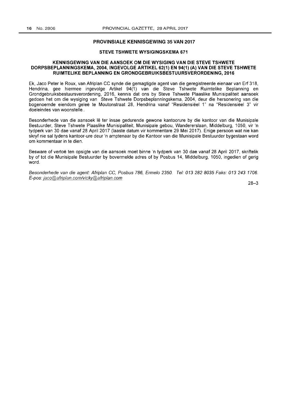#### **PROVINSIALE KENNISGEWING 35 VAN 2017**

# **STEVE TSHWETE WYSIGINGSKEMA 671**

#### **KENNISGEWING VAN DIE AANSOEK OM DIE WYSIGING VAN DIE STEVE TSHWETE DORPSBEPLANNINGSKEMA, 2004, INGEVOLGE ARTIKEL 62(1) EN 94(1) (A) VAN DIE STEVE TSHWETE RUIMTELIKE BEPLANNING EN GRONDGEBRUIKSBESTUURSVERORDENING, 2016**

Ek, Jaco Peter Ie Roux, van Afriplan CC synde die gemagtigde agent van die geregistreerde eienaar van Erf 318, Hendrina, gee hiermee ingevolge Artikel 94(1) van die Steve Tshwete Ruimtelike Beplanning en Grondgebruiksbestuursverordening, 2016, kennis dat ons by Steve Tshwete Plaaslike Munisipaliteit aansoek gedoen het om die wysiging van Steve Tshwete Dorpsbeplanningskema, 2004, deur die hersonering van die bogenoemde eiendom gelee te Moutonstraat 28, Hendrina vanaf "Residensieel 1" na "Residensieel 3" vir doeleindes van woonstelle ..

Besonderhede van die aansoek lê ter insae gedurende gewone kantoorure by die kantoor van die Munisipale Bestuurder, Steve Tshwete Plaaslike Munisipaliteit, Munisipale gebou, Wandererslaan, Middelburg, 1050, vir 'n tydperk van 30 dae vanaf 28 April 2017 (Iaaste datum vir kommentare 29 Mei 2017). Enige persoon wat nie kan skryf nie sal tydens kantoor-ure deur 'n amptenaar by die Kantoor van die Munisipale Bestuurder bygestaan word om kommentaar in te dien.

Besware of vertoe ten opsigte van die aansoek moet binne 'n tydperk van 30 dae vanaf 28 April 2017, skriftelik by of tot die Munisipale Bestuurder by bovermelde adres of by Posbus 14, Middelburg, 1050, ingedien of gerig word.

Besonderhede van die agent: Afriplan CC, Posbus 786, Ermelo 2350. Tel: 013 282 8035 Faks: 013 243 1706. E-pos: jaco@afriplan.comlvicky@afrip/an.com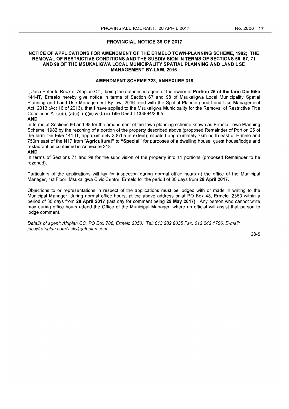#### PROVINCIAL NOTICE 36 OF 2017

### NOTICE OF APPLICATIONS FOR AMENDMENT OF THE ERMELO TOWN-PLANNING SCHEME, 1982; THE REMOVAL OF RESTRICTIVE CONDITIONS AND THE SUBDIVISION IN TERMS OF SECTIONS 66, 67, 71 AND 98 OF THE MSUKALIGWA LOCAL MUNICIPALITY SPATIAL PLANNING AND LAND USE MANAGEMENT BY-LAW, 2016

#### AMENDMENT SCHEME 728, ANNEXURE 318

I, Jaco Peter Ie Roux of Afriplan CC, being the authorised agent of the owner of Portion 25 of the farm Die Eike 141-IT, Ermelo hereby give notice in terms of Section 67 and 98 of Msukaligwa Local Municipality Spatial Planning and Land Use Management By-law, 2016 read with the Spatial Planning and Land Use Management Act, 2013 (Act 16 of 2013), that I have applied to the Msukaligwa Municipality for the Removal of Restrictive Title Conditions A: (a)(i), (a)(ii), (a)(iii) & (b) in Title Deed *T138894/2005* 

# AND

In terms of Sections 66 and 98 for the amendment of the town planning scheme known as Ermelo Town Planning Scheme, 1982 by the rezoning of a portion of the property described above (proposed Remainder of Portion 25 of the farm Die Eike 141-IT, approximately 3,87ha in extent), situated approximately 7km north-east of Ermelo and 750m east of the N17 from "Agricultural" to "Special" for purposes of a dwelling house, quest house/lodge and restaurant as contained in Annexure 318

#### AND

In terms of Sections 71 and 98 for the subdivision of the property into 11 portions (proposed Remainder to be rezoned).

Particulars of the applications will lay for inspection during normal office hours at the office of the Municipal Manager, 1st Floor, Msukaligwa Civic Centre, Ermelo for the period of 30 days from 28 April 2017.

Objections to or representations in respect of the applications must be lodged with or made in writing to the Municipal Manager, during normal office hours, at the above address or at PO Box 48, Ermelo, 2350 within a period of 30 days from 28 April 2017 (last day for comment being 29 May 2017). Any person who cannot write may during office hours attend the Office of the Municipal Manager, where an official will assist that person to lodge comment.

Details of agent: Afriplan CC, PO Box 786, Ermelo 2350. Tel: 013 282 8035 Fax: 013 243 1706. E-mail: jaco@afriplan.comlvickY@afriplan.com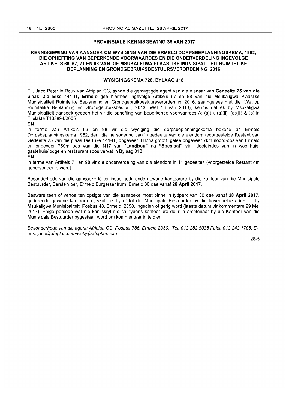#### PROVINSIALE KENNISGEWING 36 VAN 2017

# KENNISGEWING VAN AANSOEK OM WYSIGING VAN DIE ERMELO DORPSBEPLANNINGSKEMA, 1982; DIE OPHEFFING VAN BEPERKENDE VOORWAARDES EN DIE ONDERVERDELING INGEVOLGE ARTIKELS 66,67,71 EN 98 VAN DIE MSUKALIGWA PLAASLIKE MUNISIPALITEIT RUIMTELIKE BEPLANNING EN GRONDGEBRUIKSBESTUURSVERORDENING, 2016

#### WYSIGINGSKEMA 728, BYLAAG 318

Ek, Jaco Peter le Roux van Afriplan CC, synde die gemagtigde agent van die eienaar van Gedeelte 25 van die plaas Die Eike 141-IT, Ermelo gee hiermee ingevolge Artikels 67 en 98 van die Msukaligwa Plaaslike Munisipaliteit Ruimtelike Beplanning en Grondgebruikbestuursverordening, 2016, saamgelees met die Wet op Ruimtelike Beplanning en Grondgebruiksbestuur, 2013 (Wet 16 van 2013), kennis dat ek by Msukaligwa Munisipaliteit aansoek gedoen het vir die opheffing van beperkende voorwaardes A: (a)(i), (a)(ii), (a)(iii) & (b) in Titelakte T138894/2005

#### EN

in terme van Artikels 66 en 98 vir die wysiging die dorpsbeplanningskema bekend as Ermelo Dorpsbeplanningskema 1982, deur die hersonering van 'n gedeelte van die eiendom (voorgestelde Restant van Gedeelte 25 van die plaas Die Eike 141-IT, ongeveer 3.87ha groot), gelee ongeveer 7km noord-oos van Ermelo en ongeveer 750m oos van die N17 van "Landbou" na "Spesiaal" vir doeleindes van 'n woonhuis, gastehuis/lodge en restaurant soos vervat in Bylaag 318

#### EN

in terme van Artikels 71 en 98 vir die onderverdeing van die eiendom in 11 gedeeltes (voorgestelde Restant om gehersoneer te word).

Besonderhede van die aansoeke lê ter insae gedurende gewone kantoorure by die kantoor van die Munisipale Bestuurder, Eerste vloer, Ermelo Burgersentrum, Ermelo 30 dae vanaf 28 April 2017.

Besware teen of vertoë ten opsigte van die aansoeke moet binne 'n tydperk van 30 dae vanaf 28 April 2017, gedurende gewone kantoor-ure, skriftelik by of tot die Munisipale Bestuurder by die bovermelde adres of by Msukaligwa Munisipaliteit, Posbus 48, Ermelo, 2350, ingedien of gerig word (Iaaste datum vir kommentare 29 Mei 2017). Enige persoon wat nie kan skryf nie sal tydens kantoor-ure deur 'n amptenaar by die Kantoor van die Munisipale Bestuurder bygestaan word om kommentaar in te dien.

8esonderhede van die agent: Afriplan CC, Posbus 786, Ermelo 2350. Tel: 013 282 8035 Faks: 013 2431706. Epos: jaco@afriplan.comlvicky@afriplan.com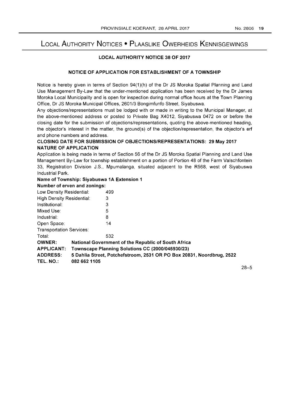# LOCAL AUTHORITY NOTICES • PLAASLIKE OWERHEIDS KENNISGEWINGS

# LOCAL AUTHORITY NOTICE 38 OF 2017

### NOTICE OF APPLICATION FOR ESTABLISHMENT OF A TOWNSHIP

Notice is hereby given in terms of Section 94(1)(h) of the Dr JS Moroka Spatial Planning and Land Use Management By-Law that the under-mentioned application has been received by the Dr James Moroka Local Municipality and is open for inspection during normal office hours at the Town Planning Office, Dr JS Moroka Municipal Offices, 2601/3 Bongimfunfo Street, Siyabuswa.

Any objections/representations must be lodged with or made in writing to the Municipal Manager, at the above-mentioned address or posted to Private Bag X4012, Siyabuswa 0472 on or before the closing date for the submission of objections/representations, quoting the above-mentioned heading, the objector's interest in the matter, the ground(s) of the objection/representation, the objector's erf and phone numbers and address.

# CLOSING DATE FOR SUBMISSION OF OBJECTIONS/REPRESENTATIONS: 29 May 2017 NATURE OF APPLICATION

Application is being made in terms of Section 56 of the Dr JS Moroka Spatial Planning and Land Use Management By-Law for township establishment on a portion of Portion 48 of the Farm Valschfontein 33, Registration Division J.S., Mpumalanga, situated adjacent to the R568, west of Siyabuswa Industrial Park.

# Name of Township: Siyabuswa 1A Extension 1

# Number of erven and zonings:

| Low Density Residential:                                                                 |                                                  | 499                                                 |  |  |
|------------------------------------------------------------------------------------------|--------------------------------------------------|-----------------------------------------------------|--|--|
| <b>High Density Residential:</b>                                                         |                                                  | 3                                                   |  |  |
| Institutional:                                                                           |                                                  | 3                                                   |  |  |
| Mixed Use:                                                                               |                                                  | 5                                                   |  |  |
| Industrial:                                                                              |                                                  | 8                                                   |  |  |
| Open Space:                                                                              |                                                  | 14                                                  |  |  |
| <b>Transportation Services:</b>                                                          |                                                  |                                                     |  |  |
| Total:                                                                                   |                                                  | 532                                                 |  |  |
| <b>OWNER:</b>                                                                            |                                                  | National Government of the Republic of South Africa |  |  |
| <b>APPLICANT:</b>                                                                        | Townscape Planning Solutions CC (2000/045930/23) |                                                     |  |  |
| 5 Dahlia Street, Potchefstroom, 2531 OR PO Box 20831, Noordbrug, 2522<br><b>ADDRESS:</b> |                                                  |                                                     |  |  |
| TEL. NO.:                                                                                | 082 662 1105                                     |                                                     |  |  |
|                                                                                          |                                                  |                                                     |  |  |